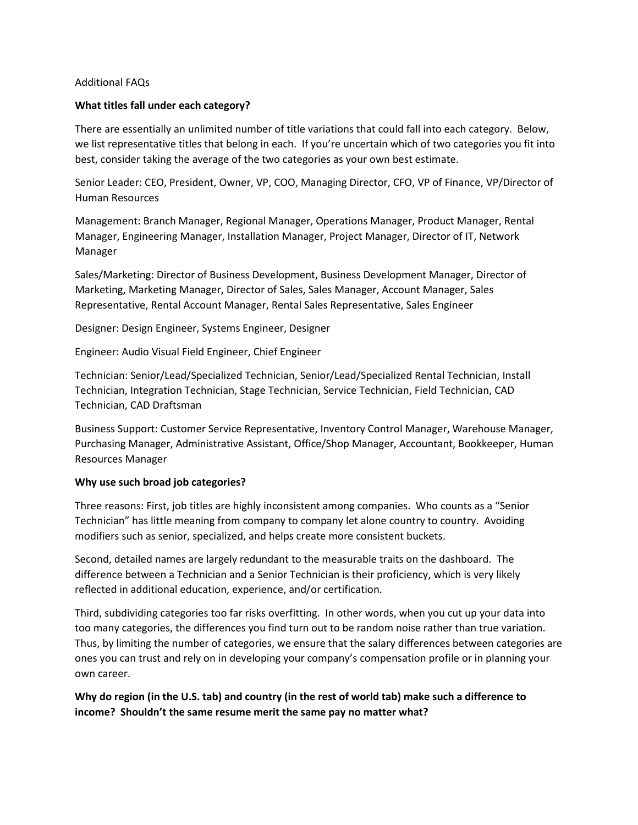## Additional FAQs

## **What titles fall under each category?**

There are essentially an unlimited number of title variations that could fall into each category. Below, we list representative titles that belong in each. If you're uncertain which of two categories you fit into best, consider taking the average of the two categories as your own best estimate.

Senior Leader: CEO, President, Owner, VP, COO, Managing Director, CFO, VP of Finance, VP/Director of Human Resources

Management: Branch Manager, Regional Manager, Operations Manager, Product Manager, Rental Manager, Engineering Manager, Installation Manager, Project Manager, Director of IT, Network Manager

Sales/Marketing: Director of Business Development, Business Development Manager, Director of Marketing, Marketing Manager, Director of Sales, Sales Manager, Account Manager, Sales Representative, Rental Account Manager, Rental Sales Representative, Sales Engineer

Designer: Design Engineer, Systems Engineer, Designer

Engineer: Audio Visual Field Engineer, Chief Engineer

Technician: Senior/Lead/Specialized Technician, Senior/Lead/Specialized Rental Technician, Install Technician, Integration Technician, Stage Technician, Service Technician, Field Technician, CAD Technician, CAD Draftsman

Business Support: Customer Service Representative, Inventory Control Manager, Warehouse Manager, Purchasing Manager, Administrative Assistant, Office/Shop Manager, Accountant, Bookkeeper, Human Resources Manager

## **Why use such broad job categories?**

Three reasons: First, job titles are highly inconsistent among companies. Who counts as a "Senior Technician" has little meaning from company to company let alone country to country. Avoiding modifiers such as senior, specialized, and helps create more consistent buckets.

Second, detailed names are largely redundant to the measurable traits on the dashboard. The difference between a Technician and a Senior Technician is their proficiency, which is very likely reflected in additional education, experience, and/or certification.

Third, subdividing categories too far risks overfitting. In other words, when you cut up your data into too many categories, the differences you find turn out to be random noise rather than true variation. Thus, by limiting the number of categories, we ensure that the salary differences between categories are ones you can trust and rely on in developing your company's compensation profile or in planning your own career.

**Why do region (in the U.S. tab) and country (in the rest of world tab) make such a difference to income? Shouldn't the same resume merit the same pay no matter what?**